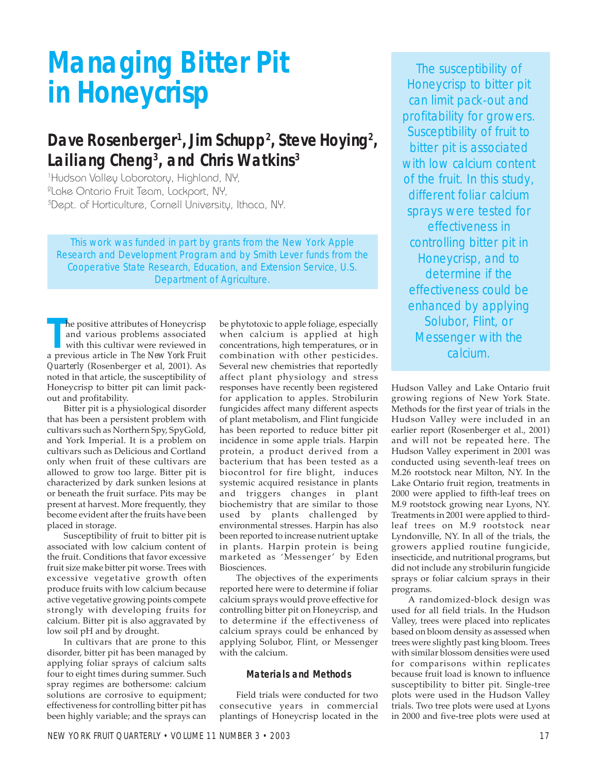# **Managing Bitter Pit in Honeycrisp**

# Dave Rosenberger<sup>1</sup>, Jim Schupp<sup>2</sup>, Steve Hoying<sup>2</sup>, **Lailiang Cheng3 , and Chris Watkins3**

1 Hudson Valley Laboratory, Highland, NY, 2 Lake Ontario Fruit Team, Lockport, NY, <sup>3</sup>Dept. of Horticulture, Cornell University, Ithaca, NY.

This work was funded in part by grants from the New York Apple Research and Development Program and by Smith Lever funds from the Cooperative State Research, Education, and Extension Service, U.S. Department of Agriculture.

**The positive attributes of Honeycrisp and various problems associated with this cultivar were reviewed in a previous article in** *The New York Fruit* he positive attributes of Honeycrisp and various problems associated with this cultivar were reviewed in *Quarterly* (Rosenberger et al, 2001). As noted in that article, the susceptibility of Honeycrisp to bitter pit can limit packout and profitability.

Bitter pit is a physiological disorder that has been a persistent problem with cultivars such as Northern Spy, SpyGold, and York Imperial. It is a problem on cultivars such as Delicious and Cortland only when fruit of these cultivars are allowed to grow too large. Bitter pit is characterized by dark sunken lesions at or beneath the fruit surface. Pits may be present at harvest. More frequently, they become evident after the fruits have been placed in storage.

Susceptibility of fruit to bitter pit is associated with low calcium content of the fruit. Conditions that favor excessive fruit size make bitter pit worse. Trees with excessive vegetative growth often produce fruits with low calcium because active vegetative growing points compete strongly with developing fruits for calcium. Bitter pit is also aggravated by low soil pH and by drought.

In cultivars that are prone to this disorder, bitter pit has been managed by applying foliar sprays of calcium salts four to eight times during summer. Such spray regimes are bothersome: calcium solutions are corrosive to equipment; effectiveness for controlling bitter pit has been highly variable; and the sprays can

be phytotoxic to apple foliage, especially when calcium is applied at high concentrations, high temperatures, or in combination with other pesticides. Several new chemistries that reportedly affect plant physiology and stress responses have recently been registered for application to apples. Strobilurin fungicides affect many different aspects of plant metabolism, and Flint fungicide has been reported to reduce bitter pit incidence in some apple trials. Harpin protein, a product derived from a bacterium that has been tested as a biocontrol for fire blight, induces systemic acquired resistance in plants and triggers changes in plant biochemistry that are similar to those used by plants challenged by environmental stresses. Harpin has also been reported to increase nutrient uptake in plants. Harpin protein is being marketed as 'Messenger' by Eden Biosciences.

The objectives of the experiments reported here were to determine if foliar calcium sprays would prove effective for controlling bitter pit on Honeycrisp, and to determine if the effectiveness of calcium sprays could be enhanced by applying Solubor, Flint, or Messenger with the calcium.

### **Materials and Methods**

Field trials were conducted for two consecutive years in commercial plantings of Honeycrisp located in the

The susceptibility of Honeycrisp to bitter pit can limit pack-out and profitability for growers. Susceptibility of fruit to bitter pit is associated with low calcium content of the fruit. In this study, different foliar calcium sprays were tested for effectiveness in controlling bitter pit in Honeycrisp, and to determine if the effectiveness could be enhanced by applying Solubor, Flint, or Messenger with the calcium.

Hudson Valley and Lake Ontario fruit growing regions of New York State. Methods for the first year of trials in the Hudson Valley were included in an earlier report (Rosenberger et al., 2001) and will not be repeated here. The Hudson Valley experiment in 2001 was conducted using seventh-leaf trees on M.26 rootstock near Milton, NY. In the Lake Ontario fruit region, treatments in 2000 were applied to fifth-leaf trees on M.9 rootstock growing near Lyons*,* NY. Treatments in 2001 were applied to thirdleaf trees on M.9 rootstock near Lyndonville, NY. In all of the trials, the growers applied routine fungicide, insecticide, and nutritional programs, but did not include any strobilurin fungicide sprays or foliar calcium sprays in their programs.

A randomized-block design was used for all field trials. In the Hudson Valley, trees were placed into replicates based on bloom density as assessed when trees were slightly past king bloom. Trees with similar blossom densities were used for comparisons within replicates because fruit load is known to influence susceptibility to bitter pit. Single-tree plots were used in the Hudson Valley trials. Two tree plots were used at Lyons in 2000 and five-tree plots were used at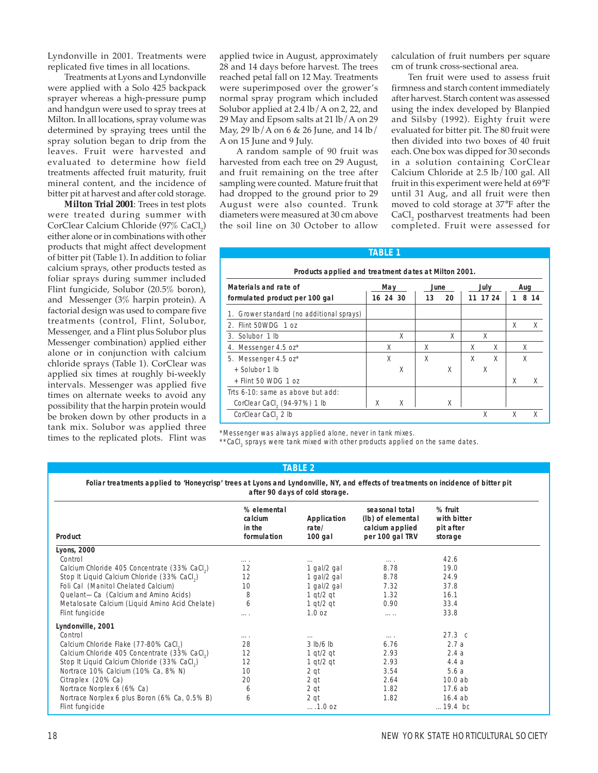Lyndonville in 2001. Treatments were replicated five times in all locations.

Treatments at Lyons and Lyndonville were applied with a Solo 425 backpack sprayer whereas a high-pressure pump and handgun were used to spray trees at Milton. In all locations, spray volume was determined by spraying trees until the spray solution began to drip from the leaves. Fruit were harvested and evaluated to determine how field treatments affected fruit maturity, fruit mineral content, and the incidence of bitter pit at harvest and after cold storage.

**Milton Trial 2001**: Trees in test plots were treated during summer with CorClear Calcium Chloride (97% CaCl<sub>2</sub>) either alone or in combinations with other products that might affect development of bitter pit (Table 1). In addition to foliar calcium sprays, other products tested as foliar sprays during summer included Flint fungicide, Solubor (20.5% boron), and Messenger (3% harpin protein). A factorial design was used to compare five treatments (control, Flint, Solubor, Messenger, and a Flint plus Solubor plus Messenger combination) applied either alone or in conjunction with calcium chloride sprays (Table 1). CorClear was applied six times at roughly bi-weekly intervals. Messenger was applied five times on alternate weeks to avoid any possibility that the harpin protein would be broken down by other products in a tank mix. Solubor was applied three times to the replicated plots. Flint was applied twice in August, approximately 28 and 14 days before harvest. The trees reached petal fall on 12 May. Treatments were superimposed over the grower's normal spray program which included Solubor applied at 2.4 lb/A on 2, 22, and 29 May and Epsom salts at 21 lb/A on 29 May, 29 lb/A on 6 & 26 June, and 14 lb/ A on 15 June and 9 July.

A random sample of 90 fruit was harvested from each tree on 29 August, and fruit remaining on the tree after sampling were counted. Mature fruit that had dropped to the ground prior to 29 August were also counted. Trunk diameters were measured at 30 cm above the soil line on 30 October to allow

calculation of fruit numbers per square cm of trunk cross-sectional area.

Ten fruit were used to assess fruit firmness and starch content immediately after harvest. Starch content was assessed using the index developed by Blanpied and Silsby (1992). Eighty fruit were evaluated for bitter pit. The 80 fruit were then divided into two boxes of 40 fruit each. One box was dipped for 30 seconds in a solution containing CorClear Calcium Chloride at 2.5 lb/100 gal. All fruit in this experiment were held at 69°F until 31 Aug, and all fruit were then moved to cold storage at 37°F after the CaCl<sub>2</sub> postharvest treatments had been completed. Fruit were assessed for

| Products applied and treatment dates at Milton 2001. |          |   |      |    |   |          |   |         |
|------------------------------------------------------|----------|---|------|----|---|----------|---|---------|
| Materials and rate of                                | May      |   | June |    |   | July     |   | Aug     |
| formulated product per 100 gal                       | 16 24 30 |   | 13   | 20 |   | 11 17 24 |   | 8<br>14 |
| 1. Grower standard (no additional sprays)            |          |   |      |    |   |          |   |         |
| 2. Flint 50WDG 1 oz                                  |          |   |      |    |   |          | X | X       |
| 3. Solubor 1 lb                                      |          | X |      | X  |   | X        |   |         |
| 4. Messenger 4.5 oz*                                 | X        |   | X    |    | Χ | X        |   | X       |
| 5. Messenger 4.5 oz*                                 | X        |   | X    |    | X | X        |   | X       |
| + Solubor 1 lb                                       |          | X |      | Χ  |   | X        |   |         |
| $+$ Flint 50 WDG 1 oz                                |          |   |      |    |   |          | X | Χ       |
| Trts 6-10: same as above but add:                    |          |   |      |    |   |          |   |         |
| CorClear CaCl <sub>2</sub> (94-97%) 1 lb             | X        | X |      | X  |   |          |   |         |
| CorClear CaCl <sub>2</sub> 2 lb                      |          |   |      |    |   | Χ        |   |         |

**TABLE 1**

\*Messenger was always applied alone, never in tank mixes.

 $*$ \*CaCl<sub>2</sub> sprays were tank mixed with other products applied on the same dates.

#### **TABLE 2**

**Foliar treatments applied to 'Honeycrisp' trees at Lyons and Lyndonville, NY, and effects of treatments on incidence of bitter pit after 90 days of cold storage.**

| % elemental<br>calcium<br>in the<br>formulation | Application<br>rate/<br>$100$ gal | seasonal total<br>(lb) of elemental<br>calcium applied<br>per 100 gal TRV | % fruit<br>with bitter<br>pit after<br>storage |  |
|-------------------------------------------------|-----------------------------------|---------------------------------------------------------------------------|------------------------------------------------|--|
|                                                 |                                   |                                                                           |                                                |  |
| .                                               | $\cdots$                          | .                                                                         | 42.6                                           |  |
| 12                                              | 1 gal/2 gal                       | 8.78                                                                      | 19.0                                           |  |
| 12                                              | 1 gal/2 gal                       | 8.78                                                                      | 24.9                                           |  |
| 10                                              | 1 gal/2 gal                       | 7.32                                                                      | 37.8                                           |  |
| 8                                               | 1 $qt/2$ $qt$                     | 1.32                                                                      | 16.1                                           |  |
| 6                                               | 1 $qt/2$ qt                       | 0.90                                                                      | 33.4                                           |  |
|                                                 | 1.0 oz                            | .                                                                         | 33.8                                           |  |
|                                                 |                                   |                                                                           |                                                |  |
| .                                               | $\cdots$                          | .                                                                         | 27.3 <sub>c</sub>                              |  |
| 28                                              | 3 lb/6 lb                         | 6.76                                                                      | 2.7a                                           |  |
| 12                                              | 1 $qt/2$ $qt$                     | 2.93                                                                      | 2.4a                                           |  |
| 12                                              | 1 $qt/2$ qt                       | 2.93                                                                      | 4.4a                                           |  |
| 10                                              | 2 gt                              | 3.54                                                                      | 5.6a                                           |  |
| 20                                              | 2 <sub>qt</sub>                   | 2.64                                                                      | 10.0ab                                         |  |
| 6                                               | 2 qt                              | 1.82                                                                      | 17.6 ab                                        |  |
| 6                                               | 2 qt                              | 1.82                                                                      | 16.4ab                                         |  |
|                                                 | 1.0 oz                            |                                                                           | $19.4$ bc                                      |  |
|                                                 |                                   |                                                                           |                                                |  |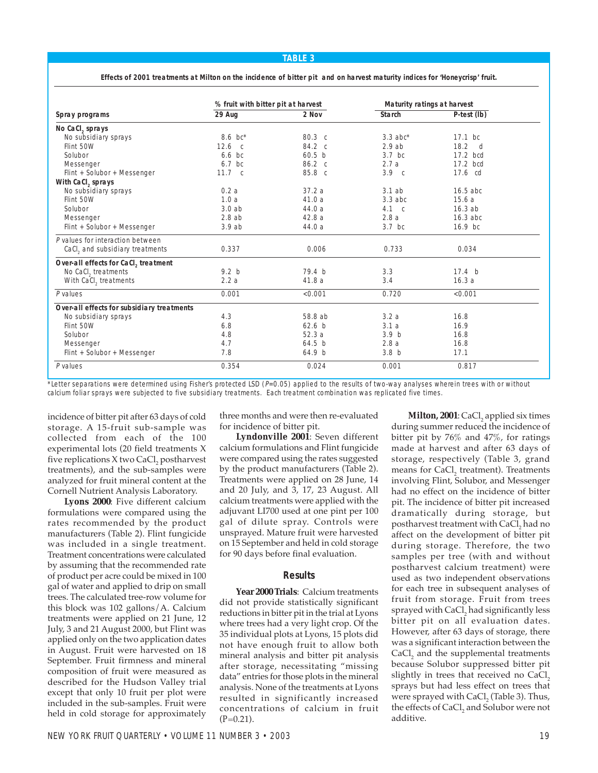#### **TABLE 3**

**Effects of 2001 treatments at Milton on the incidence of bitter pit and on harvest maturity indices for 'Honeycrisp' fruit.**

|                                            | % fruit with bitter pit at harvest |                   | Maturity ratings at harvest |                   |  |
|--------------------------------------------|------------------------------------|-------------------|-----------------------------|-------------------|--|
| Spray programs                             | 29 Aug                             | 2 Nov             | <b>Starch</b>               | P-test (lb)       |  |
| No CaCl, sprays                            |                                    |                   |                             |                   |  |
| No subsidiary sprays                       | 8.6 $bc^*$                         | 80.3 c            | $3.3$ abc <sup>*</sup>      | 17.1 bc           |  |
| Flint 50W                                  | 12.6 <sub>c</sub>                  | 84.2 c            | 2.9ab                       | $18.2$ d          |  |
| Solubor                                    | $6.6$ bc                           | 60.5 <sub>b</sub> | $3.7$ bc                    | 17.2 bcd          |  |
| Messenger                                  | $6.7$ bc                           | $86.2 \text{ c}$  | 2.7a                        | 17.2 bcd          |  |
| Flint + Solubor + Messenger                | 11.7 c                             | 85.8 c            | 3.9 <sub>c</sub>            | 17.6 cd           |  |
| With CaCl, sprays                          |                                    |                   |                             |                   |  |
| No subsidiary sprays                       | 0.2a                               | 37.2a             | 3.1ab                       | $16.5$ abc        |  |
| Flint 50W                                  | 1.0a                               | 41.0a             | $3.3$ abc                   | 15.6a             |  |
| Solubor                                    | 3.0ab                              | 44.0 a            | $4.1\phantom{0}c$           | 16.3ab            |  |
| Messenger                                  | 2.8ab                              | 42.8a             | 2.8a                        | 16.3 abc          |  |
| Flint + Solubor + Messenger                | 3.9ab                              | 44.0 a            | $3.7$ bc                    | $16.9$ bc         |  |
| P values for interaction between           |                                    |                   |                             |                   |  |
| CaCl, and subsidiary treatments            | 0.337                              | 0.006             | 0.733                       | 0.034             |  |
| Over-all effects for CaCl, treatment       |                                    |                   |                             |                   |  |
| No CaCl, treatments                        | 9.2 <sub>b</sub>                   | 79.4 <sub>b</sub> | 3.3                         | 17.4 <sub>b</sub> |  |
| With CaCl, treatments                      | 2.2a                               | 41.8a             | 3.4                         | 16.3a             |  |
| $P$ values                                 | 0.001                              | < 0.001           | 0.720                       | < 0.001           |  |
| Over-all effects for subsidiary treatments |                                    |                   |                             |                   |  |
| No subsidiary sprays                       | 4.3                                | 58.8 ab           | 3.2a                        | 16.8              |  |
| Flint 50W                                  | 6.8                                | 62.6 <sub>b</sub> | 3.1a                        | 16.9              |  |
| Solubor                                    | 4.8                                | 52.3a             | 3.9 <sub>b</sub>            | 16.8              |  |
| Messenger                                  | 4.7                                | 64.5 <sub>b</sub> | 2.8a                        | 16.8              |  |
| Flint + Solubor + Messenger                | 7.8                                | 64.9 b            | 3.8 <sub>b</sub>            | 17.1              |  |
| P values                                   | 0.354                              | 0.024             | 0.001                       | 0.817             |  |

\*Letter separations were determined using Fisher's protected LSD  $(P=0.05)$  applied to the results of two-way analyses wherein trees with or without calcium foliar sprays were subjected to five subsidiary treatments. Each treatment combination was replicated five times.

incidence of bitter pit after 63 days of cold storage. A 15-fruit sub-sample was collected from each of the 100 experimental lots (20 field treatments X five replications X two CaCl, postharvest treatments), and the sub-samples were analyzed for fruit mineral content at the Cornell Nutrient Analysis Laboratory.

**Lyons 2000**: Five different calcium formulations were compared using the rates recommended by the product manufacturers (Table 2). Flint fungicide was included in a single treatment. Treatment concentrations were calculated by assuming that the recommended rate of product per acre could be mixed in 100 gal of water and applied to drip on small trees. The calculated tree-row volume for this block was 102 gallons/A. Calcium treatments were applied on 21 June, 12 July, 3 and 21 August 2000, but Flint was applied only on the two application dates in August. Fruit were harvested on 18 September. Fruit firmness and mineral composition of fruit were measured as described for the Hudson Valley trial except that only 10 fruit per plot were included in the sub-samples. Fruit were held in cold storage for approximately three months and were then re-evaluated for incidence of bitter pit.

**Lyndonville 2001**: Seven different calcium formulations and Flint fungicide were compared using the rates suggested by the product manufacturers (Table 2). Treatments were applied on 28 June, 14 and 20 July, and 3, 17, 23 August. All calcium treatments were applied with the adjuvant LI700 used at one pint per 100 gal of dilute spray. Controls were unsprayed. Mature fruit were harvested on 15 September and held in cold storage for 90 days before final evaluation.

## **Results**

**Year 2000 Trials**: Calcium treatments did not provide statistically significant reductions in bitter pit in the trial at Lyons where trees had a very light crop. Of the 35 individual plots at Lyons, 15 plots did not have enough fruit to allow both mineral analysis and bitter pit analysis after storage, necessitating "missing data" entries for those plots in the mineral analysis. None of the treatments at Lyons resulted in significantly increased concentrations of calcium in fruit  $(P=0.21)$ .

**Milton, 2001**: CaCl, applied six times during summer reduced the incidence of bitter pit by 76% and 47%, for ratings made at harvest and after 63 days of storage, respectively (Table 3, grand means for CaCl, treatment). Treatments involving Flint, Solubor, and Messenger had no effect on the incidence of bitter pit. The incidence of bitter pit increased dramatically during storage, but postharvest treatment with CaCl<sub>2</sub> had no affect on the development of bitter pit during storage. Therefore, the two samples per tree (with and without postharvest calcium treatment) were used as two independent observations for each tree in subsequent analyses of fruit from storage. Fruit from trees sprayed with CaCl<sub>2</sub> had significantly less bitter pit on all evaluation dates. However, after 63 days of storage, there was a significant interaction between the CaCl, and the supplemental treatments because Solubor suppressed bitter pit slightly in trees that received no  $CaCl<sub>2</sub>$ sprays but had less effect on trees that were sprayed with CaCl<sub>2</sub> (Table 3). Thus, the effects of CaCl<sub>2</sub> and Solubor were not additive.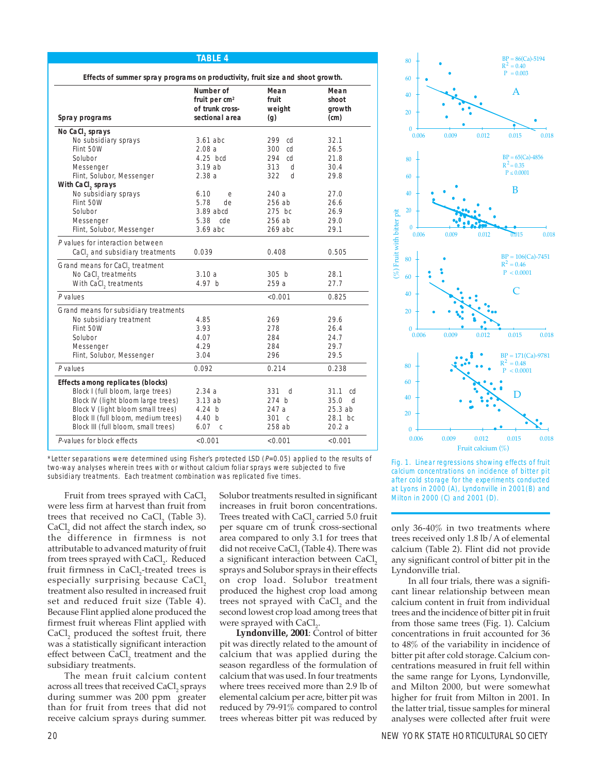| Spray programs                        | Number of<br>fruit per $cm2$<br>of trunk cross-<br>sectional area | Mean<br>fruit<br>weight<br>(q) | Mean<br>shoot<br>growth<br>(cm) |
|---------------------------------------|-------------------------------------------------------------------|--------------------------------|---------------------------------|
| No CaCl, sprays                       |                                                                   |                                |                                 |
| No subsidiary sprays                  | $3.61$ abc                                                        | 299<br>cd                      | 32.1                            |
| Flint 50W                             | 2.08a                                                             | 300<br>cd                      | 26.5                            |
| Solubor                               | 4.25 bcd                                                          | 294 cd                         | 21.8                            |
| Messenger                             | 3.19ab                                                            | 313<br>d                       | 30.4                            |
| Flint, Solubor, Messenger             | 2.38a                                                             | 322<br>d                       | 29.8                            |
| With CaCl, sprays                     |                                                                   |                                |                                 |
| No subsidiary sprays                  | 6.10<br>e                                                         | 240a                           | 27.0                            |
| Flint 50W                             | 5.78<br>de                                                        | 256 ab                         | 26.6                            |
| Solubor                               | 3.89 abcd                                                         | $275$ bc                       | 26.9                            |
| Messenger                             | 5.38<br>cde                                                       | 256 ab                         | 29.0                            |
| Flint, Solubor, Messenger             | $3.69$ abc                                                        | $269$ abc                      | 29.1                            |
| P values for interaction between      |                                                                   |                                |                                 |
| CaCl, and subsidiary treatments       | 0.039                                                             | 0.408                          | 0.505                           |
| Grand means for CaCl, treatment       |                                                                   |                                |                                 |
| No CaCl, treatments                   | 3.10a                                                             | 305 <sub>b</sub>               | 28.1                            |
| With CaCl, treatments                 | 4.97 b                                                            | 259 a                          | 27.7                            |
| P values                              |                                                                   | < 0.001                        | 0.825                           |
| Grand means for subsidiary treatments |                                                                   |                                |                                 |
| No subsidiary treatment               | 4.85                                                              | 269                            | 29.6                            |
| Flint 50W                             | 3.93                                                              | 278                            | 26.4                            |
| Solubor                               | 4.07                                                              | 284                            | 24.7                            |
| Messenger                             | 4.29                                                              | 284                            | 29.7                            |
| Flint, Solubor, Messenger             | 3.04                                                              | 296                            | 29.5                            |
| P values                              | 0.092                                                             | 0.214                          | 0.238                           |
| Effects among replicates (blocks)     |                                                                   |                                |                                 |
| Block I (full bloom, large trees)     | 2.34 a                                                            | 331<br>d                       | 31.1<br>cd                      |
| Block IV (light bloom large trees)    | 3.13 ab                                                           | 274 b                          | 35.0<br>d                       |
| Block V (light bloom small trees)     | 4.24 b                                                            | 247 a                          | 25.3ab                          |
| Block II (full bloom, medium trees)   | 4.40h                                                             | $301 \, c$                     | $28.1$ bc                       |
| Block III (full bloom, small trees)   | 6.07<br>$\mathbb{C}$                                              | 258 ab                         | 20.2a                           |
| P-values for block effects            | $<$ 0.001                                                         | < 0.001                        | < 0.001                         |
|                                       |                                                                   |                                |                                 |

**TABLE 4**

\*Letter separations were determined using Fisher's protected LSD  $(P=0.05)$  applied to the results of two-way analyses wherein trees with or without calcium foliar sprays were subjected to five subsidiary treatments. Each treatment combination was replicated five times.

were less firm at harvest than fruit from trees that received no  $CaCl<sub>2</sub>$  (Table 3). CaCl, did not affect the starch index, so the difference in firmness is not attributable to advanced maturity of fruit from trees sprayed with CaCl $_2$ . Reduced fruit firmness in  $\rm CaCl_{2}$ -treated trees is especially surprising because  $CaCl<sub>2</sub>$ treatment also resulted in increased fruit set and reduced fruit size (Table 4). Because Flint applied alone produced the firmest fruit whereas Flint applied with CaCl, produced the softest fruit, there was a statistically significant interaction effect between CaCl, treatment and the subsidiary treatments.

The mean fruit calcium content across all trees that received CaCl, sprays during summer was 200 ppm greater than for fruit from trees that did not receive calcium sprays during summer.

increases in fruit boron concentrations. Trees treated with CaCl<sub>2</sub> carried 5.0 fruit per square cm of trunk cross-sectional area compared to only 3.1 for trees that did not receive CaCl<sub>2</sub> (Table 4). There was a significant interaction between CaCl<sub>2</sub> sprays and Solubor sprays in their effects on crop load. Solubor treatment produced the highest crop load among trees not sprayed with CaCl<sub>2</sub> and the second lowest crop load among trees that were sprayed with  $\text{CaCl}_{2}$ .

**Lyndonville, 2001**: Control of bitter pit was directly related to the amount of calcium that was applied during the season regardless of the formulation of calcium that was used. In four treatments where trees received more than 2.9 lb of elemental calcium per acre, bitter pit was reduced by 79-91% compared to control trees whereas bitter pit was reduced by



Fig. 1. Linear regressions showing effects of fruit calcium concentrations on incidence of bitter pit after cold storage for the experiments conducted at Lyons in 2000 (A), Lyndonville in 2001(B) and<br>Fruit from trees sprayed with CaCl<sub>2</sub> Solubor treatments resulted in significant Milton in 2000 (C) and 2001 (D).

only 36-40% in two treatments where trees received only 1.8 lb/A of elemental calcium (Table 2). Flint did not provide any significant control of bitter pit in the Lyndonville trial.

In all four trials, there was a significant linear relationship between mean calcium content in fruit from individual trees and the incidence of bitter pit in fruit from those same trees (Fig. 1). Calcium concentrations in fruit accounted for 36 to 48% of the variability in incidence of bitter pit after cold storage. Calcium concentrations measured in fruit fell within the same range for Lyons, Lyndonville, and Milton 2000, but were somewhat higher for fruit from Milton in 2001. In the latter trial, tissue samples for mineral analyses were collected after fruit were